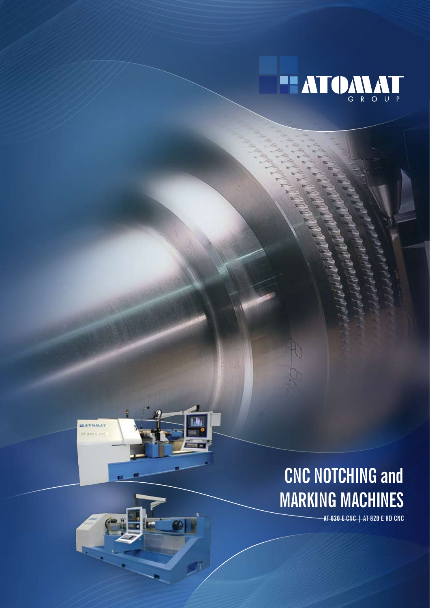

## **CNC NOTCHING and MARKING MACHINES**

**HATOMAT** AT 820 L CM

**AT 820 E CNC | AT 820 E HD CNC**